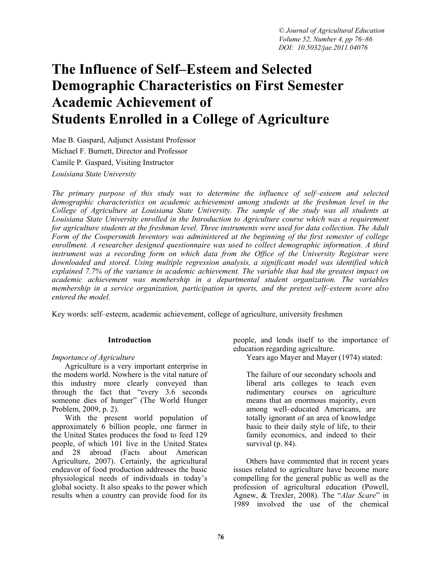# **The Influence of Self–Esteem and Selected Demographic Characteristics on First Semester Academic Achievement of Students Enrolled in a College of Agriculture**

Mae B. Gaspard, Adjunct Assistant Professor Michael F. Burnett, Director and Professor Camile P. Gaspard, Visiting Instructor *Louisiana State University* 

*The primary purpose of this study was to determine the influence of self–esteem and selected demographic characteristics on academic achievement among students at the freshman level in the College of Agriculture at Louisiana State University. The sample of the study was all students at Louisiana State University enrolled in the Introduction to Agriculture course which was a requirement for agriculture students at the freshman level. Three instruments were used for data collection. The Adult Form of the Coopersmith Inventory was administered at the beginning of the first semester of college enrollment. A researcher designed questionnaire was used to collect demographic information. A third instrument was a recording form on which data from the Office of the University Registrar were downloaded and stored. Using multiple regression analysis, a significant model was identified which explained 7.7% of the variance in academic achievement. The variable that had the greatest impact on academic achievement was membership in a departmental student organization. The variables membership in a service organization, participation in sports, and the pretest self–esteem score also entered the model.* 

Key words: self–esteem, academic achievement, college of agriculture, university freshmen

#### **Introduction**

#### *Importance of Agriculture*

Agriculture is a very important enterprise in the modern world. Nowhere is the vital nature of this industry more clearly conveyed than through the fact that "every 3.6 seconds someone dies of hunger" (The World Hunger Problem, 2009, p. 2).

With the present world population of approximately  $6$  billion people, one farmer in the United States produces the food to feed 129 people, of which 101 live in the United States and 28 abroad (Facts about American Agriculture, 2007). Certainly, the agricultural endeavor of food production addresses the basic physiological needs of individuals in today's global society. It also speaks to the power which results when a country can provide food for its

people, and lends itself to the importance of education regarding agriculture.

Years ago Mayer and Mayer (1974) stated:

The failure of our secondary schools and liberal arts colleges to teach even rudimentary courses on agriculture means that an enormous majority, even among well–educated Americans, are totally ignorant of an area of knowledge basic to their daily style of life, to their family economics, and indeed to their survival (p. 84).

Others have commented that in recent years issues related to agriculture have become more compelling for the general public as well as the profession of agricultural education (Powell, Agnew, & Trexler, 2008). The "*Alar Scare*" in 1989 involved the use of the chemical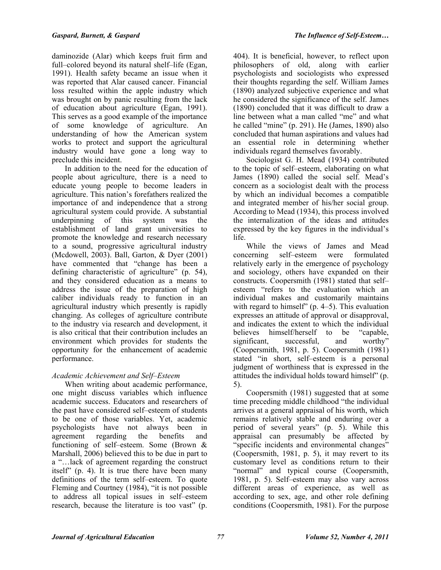daminozide (Alar) which keeps fruit firm and full–colored beyond its natural shelf–life (Egan, 1991). Health safety became an issue when it was reported that Alar caused cancer. Financial loss resulted within the apple industry which was brought on by panic resulting from the lack of education about agriculture (Egan, 1991). This serves as a good example of the importance of some knowledge of agriculture. An understanding of how the American system works to protect and support the agricultural industry would have gone a long way to preclude this incident.

In addition to the need for the education of people about agriculture, there is a need to educate young people to become leaders in agriculture. This nation's forefathers realized the importance of and independence that a strong agricultural system could provide. A substantial underpinning of this system was the establishment of land grant universities to promote the knowledge and research necessary to a sound, progressive agricultural industry (Mcdowell, 2003). Ball, Garton, & Dyer (2001) have commented that "change has been a defining characteristic of agriculture" (p. 54), and they considered education as a means to address the issue of the preparation of high caliber individuals ready to function in an agricultural industry which presently is rapidly changing. As colleges of agriculture contribute to the industry via research and development, it is also critical that their contribution includes an environment which provides for students the opportunity for the enhancement of academic performance.

## *Academic Achievement and Self–Esteem*

When writing about academic performance, one might discuss variables which influence academic success. Educators and researchers of the past have considered self–esteem of students to be one of those variables. Yet, academic psychologists have not always been in agreement regarding the benefits and functioning of self–esteem. Some (Brown & Marshall, 2006) believed this to be due in part to a "…lack of agreement regarding the construct itself" (p. 4). It is true there have been many definitions of the term self–esteem. To quote Fleming and Courtney (1984), "it is not possible to address all topical issues in self–esteem research, because the literature is too vast" (p.

404). It is beneficial, however, to reflect upon philosophers of old, along with earlier psychologists and sociologists who expressed their thoughts regarding the self. William James (1890) analyzed subjective experience and what he considered the significance of the self. James (1890) concluded that it was difficult to draw a line between what a man called "me" and what he called "mine" (p. 291). He (James, 1890) also concluded that human aspirations and values had an essential role in determining whether individuals regard themselves favorably.

Sociologist G. H. Mead (1934) contributed to the topic of self–esteem, elaborating on what James (1890) called the social self. Mead's concern as a sociologist dealt with the process by which an individual becomes a compatible and integrated member of his/her social group. According to Mead (1934), this process involved the internalization of the ideas and attitudes expressed by the key figures in the individual's life.

While the views of James and Mead<br>concerning self-esteem were formulated self–esteem were formulated relatively early in the emergence of psychology and sociology, others have expanded on their constructs. Coopersmith (1981) stated that self– esteem "refers to the evaluation which an individual makes and customarily maintains with regard to himself" (p. 4–5). This evaluation expresses an attitude of approval or disapproval, and indicates the extent to which the individual believes himself/herself to be "capable, significant, successful, and worthy" significant, successful, and (Coopersmith, 1981, p. 5). Coopersmith (1981) stated "in short, self–esteem is a personal judgment of worthiness that is expressed in the attitudes the individual holds toward himself" (p. 5).

Coopersmith (1981) suggested that at some time preceding middle childhood "the individual arrives at a general appraisal of his worth, which remains relatively stable and enduring over a period of several years" (p. 5). While this appraisal can presumably be affected by "specific incidents and environmental changes" (Coopersmith, 1981, p. 5), it may revert to its customary level as conditions return to their "normal" and typical course (Coopersmith, 1981, p. 5). Self–esteem may also vary across different areas of experience, as well as according to sex, age, and other role defining conditions (Coopersmith, 1981). For the purpose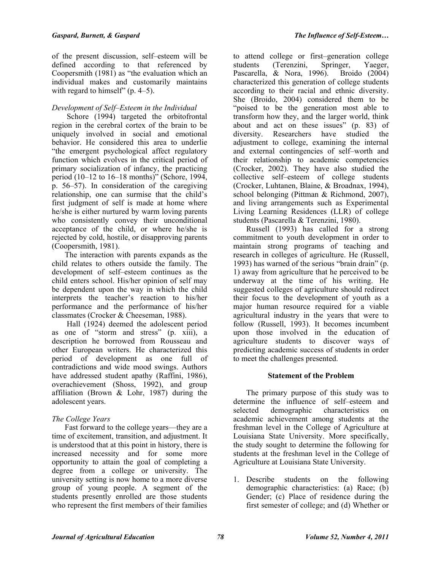of the present discussion, self–esteem will be defined according to that referenced by Coopersmith (1981) as "the evaluation which an individual makes and customarily maintains with regard to himself" (p. 4–5).

## *Development of Self–Esteem in the Individual*

Schore (1994) targeted the orbitofrontal region in the cerebral cortex of the brain to be uniquely involved in social and emotional behavior. He considered this area to underlie "the emergent psychological affect regulatory function which evolves in the critical period of primary socialization of infancy, the practicing period (10–12 to 16–18 months)" (Schore, 1994, p. 56–57). In consideration of the caregiving relationship, one can surmise that the child's first judgment of self is made at home where he/she is either nurtured by warm loving parents who consistently convey their unconditional acceptance of the child, or where he/she is rejected by cold, hostile, or disapproving parents (Coopersmith, 1981).

The interaction with parents expands as the child relates to others outside the family. The development of self–esteem continues as the child enters school. His/her opinion of self may be dependent upon the way in which the child interprets the teacher's reaction to his/her performance and the performance of his/her classmates (Crocker & Cheeseman, 1988).

 Hall (1924) deemed the adolescent period as one of "storm and stress" (p. xiii), a description he borrowed from Rousseau and other European writers. He characterized this period of development as one full of contradictions and wide mood swings. Authors have addressed student apathy (Raffini, 1986), overachievement (Shoss, 1992), and group affiliation (Brown & Lohr, 1987) during the adolescent years.

## *The College Years*

Fast forward to the college years—they are a time of excitement, transition, and adjustment. It is understood that at this point in history, there is increased necessity and for some more opportunity to attain the goal of completing a degree from a college or university. The university setting is now home to a more diverse group of young people. A segment of the students presently enrolled are those students who represent the first members of their families

to attend college or first–generation college students (Terenzini, Springer, Yaeger, Pascarella, & Nora, 1996). Broido (2004) characterized this generation of college students according to their racial and ethnic diversity. She (Broido, 2004) considered them to be "poised to be the generation most able to transform how they, and the larger world, think about and act on these issues" (p. 83) of diversity. Researchers have studied the adjustment to college, examining the internal and external contingencies of self–worth and their relationship to academic competencies (Crocker, 2002). They have also studied the collective self–esteem of college students (Crocker, Luhtanen, Blaine, & Broadnax, 1994), school belonging (Pittman & Richmond, 2007), and living arrangements such as Experimental Living Learning Residences (LLR) of college students (Pascarella & Terenzini, 1980).

Russell (1993) has called for a strong commitment to youth development in order to maintain strong programs of teaching and research in colleges of agriculture. He (Russell, 1993) has warned of the serious "brain drain" (p. 1) away from agriculture that he perceived to be underway at the time of his writing. He suggested colleges of agriculture should redirect their focus to the development of youth as a major human resource required for a viable agricultural industry in the years that were to follow (Russell, 1993). It becomes incumbent upon those involved in the education of agriculture students to discover ways of predicting academic success of students in order to meet the challenges presented.

## **Statement of the Problem**

The primary purpose of this study was to determine the influence of self–esteem and selected demographic characteristics on academic achievement among students at the freshman level in the College of Agriculture at Louisiana State University. More specifically, the study sought to determine the following for students at the freshman level in the College of Agriculture at Louisiana State University.

1. Describe students on the following demographic characteristics: (a) Race; (b) Gender; (c) Place of residence during the first semester of college; and (d) Whether or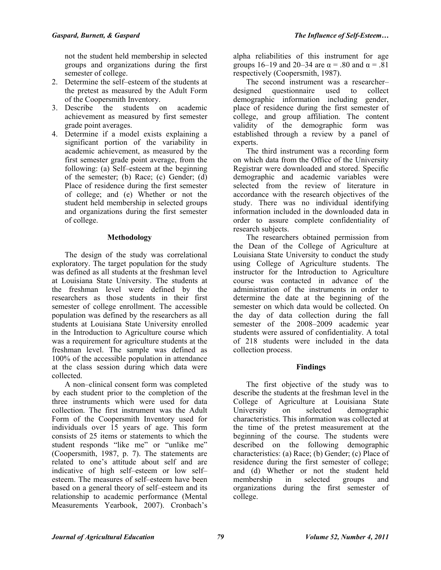not the student held membership in selected groups and organizations during the first semester of college.

- 2. Determine the self–esteem of the students at the pretest as measured by the Adult Form of the Coopersmith Inventory.
- 3. Describe the students on academic achievement as measured by first semester grade point averages.
- 4. Determine if a model exists explaining a significant portion of the variability in academic achievement, as measured by the first semester grade point average, from the following: (a) Self–esteem at the beginning of the semester; (b) Race; (c) Gender; (d) Place of residence during the first semester of college; and (e) Whether or not the student held membership in selected groups and organizations during the first semester of college.

### **Methodology**

The design of the study was correlational exploratory. The target population for the study was defined as all students at the freshman level at Louisiana State University. The students at the freshman level were defined by the researchers as those students in their first semester of college enrollment. The accessible population was defined by the researchers as all students at Louisiana State University enrolled in the Introduction to Agriculture course which was a requirement for agriculture students at the freshman level. The sample was defined as 100% of the accessible population in attendance at the class session during which data were collected.

A non–clinical consent form was completed by each student prior to the completion of the three instruments which were used for data collection. The first instrument was the Adult Form of the Coopersmith Inventory used for individuals over 15 years of age. This form consists of 25 items or statements to which the student responds "like me" or "unlike me" (Coopersmith, 1987, p. 7). The statements are related to one's attitude about self and are indicative of high self–esteem or low self– esteem. The measures of self–esteem have been based on a general theory of self–esteem and its relationship to academic performance (Mental Measurements Yearbook, 2007). Cronbach's

alpha reliabilities of this instrument for age groups 16–19 and 20–34 are  $\alpha$  = .80 and  $\alpha$  = .81 respectively (Coopersmith, 1987).

The second instrument was a researcher– designed questionnaire used to collect demographic information including gender, place of residence during the first semester of college, and group affiliation. The content validity of the demographic form was established through a review by a panel of experts.

The third instrument was a recording form on which data from the Office of the University Registrar were downloaded and stored. Specific demographic and academic variables were selected from the review of literature in accordance with the research objectives of the study. There was no individual identifying information included in the downloaded data in order to assure complete confidentiality of research subjects.

The researchers obtained permission from the Dean of the College of Agriculture at Louisiana State University to conduct the study using College of Agriculture students. The instructor for the Introduction to Agriculture course was contacted in advance of the administration of the instruments in order to determine the date at the beginning of the semester on which data would be collected. On the day of data collection during the fall semester of the 2008–2009 academic year students were assured of confidentiality. A total of 218 students were included in the data collection process.

#### **Findings**

The first objective of the study was to describe the students at the freshman level in the College of Agriculture at Louisiana State University on selected demographic characteristics. This information was collected at the time of the pretest measurement at the beginning of the course. The students were described on the following demographic characteristics: (a) Race; (b) Gender; (c) Place of residence during the first semester of college; and (d) Whether or not the student held membership in selected groups and organizations during the first semester of college.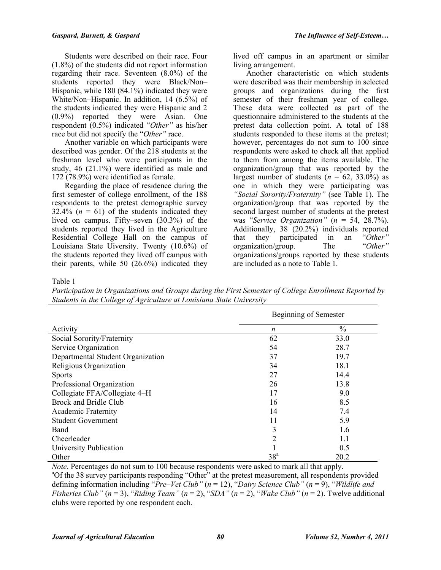Students were described on their race. Four (1.8%) of the students did not report information regarding their race. Seventeen (8.0%) of the students reported they were Black/Non– Hispanic, while 180 (84.1%) indicated they were White/Non–Hispanic. In addition, 14 (6.5%) of the students indicated they were Hispanic and 2 (0.9%) reported they were Asian. One respondent (0.5%) indicated "*Other"* as his/her race but did not specify the "*Other"* race.

Another variable on which participants were described was gender. Of the 218 students at the freshman level who were participants in the study, 46 (21.1%) were identified as male and 172 (78.9%) were identified as female.

Regarding the place of residence during the first semester of college enrollment, of the 188 respondents to the pretest demographic survey  $32.4\%$  ( $n = 61$ ) of the students indicated they lived on campus. Fifty–seven (30.3%) of the students reported they lived in the Agriculture Residential College Hall on the campus of Louisiana State Uiversity. Twenty (10.6%) of the students reported they lived off campus with their parents, while 50 (26.6%) indicated they

lived off campus in an apartment or similar living arrangement.

Another characteristic on which students were described was their membership in selected groups and organizations during the first semester of their freshman year of college. These data were collected as part of the questionnaire administered to the students at the pretest data collection point. A total of 188 students responded to these items at the pretest; however, percentages do not sum to 100 since respondents were asked to check all that applied to them from among the items available. The organization/group that was reported by the largest number of students  $(n = 62, 33.0\%)$  as one in which they were participating was *"Social Sorority/Fraternity"* (see Table 1). The organization/group that was reported by the second largest number of students at the pretest was "*Service Organization"* (*n* = 54, 28.7%). Additionally, 38 (20.2%) individuals reported<br>that they participated in an "Other" that they participated in an "*Other"* organization/group. organizations/groups reported by these students are included as a note to Table 1.

Table 1

*Participation in Organizations and Groups during the First Semester of College Enrollment Reported by Students in the College of Agriculture at Louisiana State University* 

|                                   | Beginning of Semester |               |  |  |  |
|-----------------------------------|-----------------------|---------------|--|--|--|
| Activity                          | $\boldsymbol{n}$      | $\frac{0}{0}$ |  |  |  |
| Social Sorority/Fraternity        | 62                    | 33.0          |  |  |  |
| Service Organization              | 54                    | 28.7          |  |  |  |
| Departmental Student Organization | 37                    | 19.7          |  |  |  |
| Religious Organization            | 34                    | 18.1          |  |  |  |
| <b>Sports</b>                     | 27                    | 14.4          |  |  |  |
| Professional Organization         | 26                    | 13.8          |  |  |  |
| Collegiate FFA/Collegiate 4-H     | 17                    | 9.0           |  |  |  |
| <b>Brock and Bridle Club</b>      | 16                    | 8.5           |  |  |  |
| <b>Academic Fraternity</b>        | 14                    | 7.4           |  |  |  |
| <b>Student Government</b>         | 11                    | 5.9           |  |  |  |
| <b>Band</b>                       | 3                     | 1.6           |  |  |  |
| Cheerleader                       | 2                     | 1.1           |  |  |  |
| University Publication            |                       | 0.5           |  |  |  |
| Other                             | 38 <sup>a</sup>       | 20.2          |  |  |  |

*Note*. Percentages do not sum to 100 because respondents were asked to mark all that apply. <sup>a</sup>Of the 38 survey participants responding "Other" at the pretest measurement, all respondents provided defining information including "*Pre–Vet Club"* (*n* = 12), "*Dairy Science Club"* (*n* = 9), "*Wildlife and Fisheries Club"* ( $n = 3$ ), "*Riding Team"* ( $n = 2$ ), "*SDA"* ( $n = 2$ ), "*Wake Club"* ( $n = 2$ ). Twelve additional clubs were reported by one respondent each.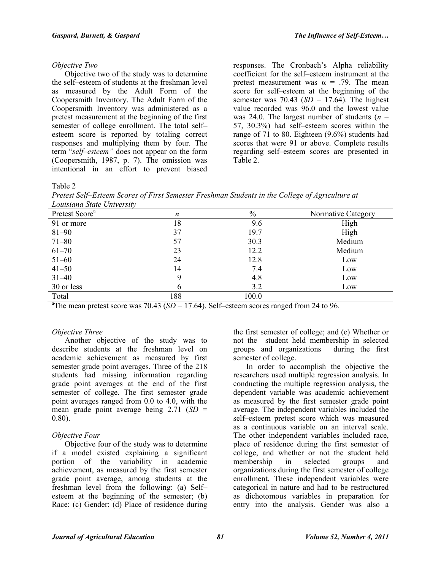#### *Objective Two*

Objective two of the study was to determine the self–esteem of students at the freshman level as measured by the Adult Form of the Coopersmith Inventory. The Adult Form of the Coopersmith Inventory was administered as a pretest measurement at the beginning of the first semester of college enrollment. The total self– esteem score is reported by totaling correct responses and multiplying them by four. The term "*self–esteem"* does not appear on the form (Coopersmith, 1987, p. 7). The omission was intentional in an effort to prevent biased

responses. The Cronbach's Alpha reliability coefficient for the self–esteem instrument at the pretest measurement was  $\alpha = .79$ . The mean score for self–esteem at the beginning of the semester was 70.43 (*SD* = 17.64). The highest value recorded was 96.0 and the lowest value was 24.0. The largest number of students  $(n =$ 57, 30.3%) had self–esteem scores within the range of 71 to 80. Eighteen (9.6%) students had scores that were 91 or above. Complete results regarding self–esteem scores are presented in Table 2.

### Table 2

*Pretest Self–Esteem Scores of First Semester Freshman Students in the College of Agriculture at Louisiana State University*

| Pretest Score <sup>a</sup> | n   | $\%$  | Normative Category |
|----------------------------|-----|-------|--------------------|
| 91 or more                 | 18  | 9.6   | High               |
| $81 - 90$                  | 37  | 19.7  | High               |
| $71 - 80$                  | 57  | 30.3  | Medium             |
| $61 - 70$                  | 23  | 12.2  | Medium             |
| $51 - 60$                  | 24  | 12.8  | Low                |
| $41 - 50$                  | 14  | 7.4   | Low                |
| $31 - 40$                  | 9   | 4.8   | Low                |
| 30 or less                 | 6   | 3.2   | Low                |
| Total                      | 188 | 100.0 |                    |

<sup>a</sup>The mean pretest score was  $70.43$  (*SD* = 17.64). Self–esteem scores ranged from 24 to 96.

## *Objective Three*

Another objective of the study was to describe students at the freshman level on academic achievement as measured by first semester grade point averages. Three of the 218 students had missing information regarding grade point averages at the end of the first semester of college. The first semester grade point averages ranged from 0.0 to 4.0, with the mean grade point average being 2.71 (*SD* = 0.80).

## *Objective Four*

Objective four of the study was to determine if a model existed explaining a significant portion of the variability in academic achievement, as measured by the first semester grade point average, among students at the freshman level from the following: (a) Self– esteem at the beginning of the semester; (b) Race; (c) Gender; (d) Place of residence during

the first semester of college; and (e) Whether or not the student held membership in selected groups and organizations during the first semester of college.

In order to accomplish the objective the researchers used multiple regression analysis. In conducting the multiple regression analysis, the dependent variable was academic achievement as measured by the first semester grade point average. The independent variables included the self–esteem pretest score which was measured as a continuous variable on an interval scale. The other independent variables included race, place of residence during the first semester of college, and whether or not the student held membership in selected groups and organizations during the first semester of college enrollment. These independent variables were categorical in nature and had to be restructured as dichotomous variables in preparation for entry into the analysis. Gender was also a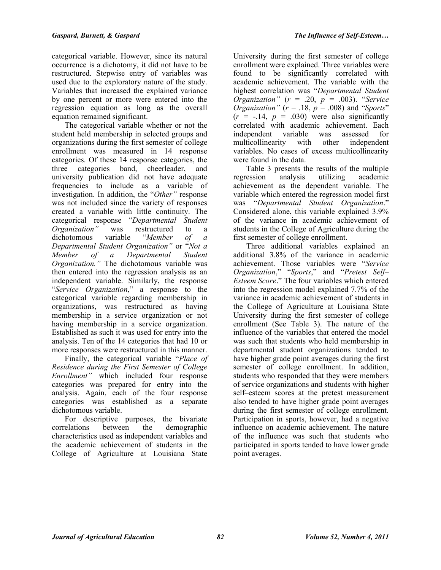categorical variable. However, since its natural occurrence is a dichotomy, it did not have to be restructured. Stepwise entry of variables was used due to the exploratory nature of the study. Variables that increased the explained variance by one percent or more were entered into the regression equation as long as the overall equation remained significant.

The categorical variable whether or not the student held membership in selected groups and organizations during the first semester of college enrollment was measured in 14 response categories. Of these 14 response categories, the three categories band, cheerleader, and university publication did not have adequate frequencies to include as a variable of investigation. In addition, the "*Other"* response was not included since the variety of responses created a variable with little continuity. The categorical response "*Departmental Student Organization"* was restructured to a dichotomous variable "*Member of a Departmental Student Organization"* or "*Not a Member of a Departmental Student Organization."* The dichotomous variable was then entered into the regression analysis as an independent variable. Similarly, the response "*Service Organization*," a response to the categorical variable regarding membership in organizations, was restructured as having membership in a service organization or not having membership in a service organization. Established as such it was used for entry into the analysis. Ten of the 14 categories that had 10 or more responses were restructured in this manner.

Finally, the categorical variable "*Place of Residence during the First Semester of College Enrollment"* which included four response categories was prepared for entry into the analysis. Again, each of the four response categories was established as a separate dichotomous variable.

For descriptive purposes, the bivariate correlations between the demographic characteristics used as independent variables and the academic achievement of students in the College of Agriculture at Louisiana State

University during the first semester of college enrollment were explained. Three variables were found to be significantly correlated with academic achievement. The variable with the highest correlation was "*Departmental Student Organization"* (*r* = .20, *p* = .003). "*Service Organization"* ( $r = .18$ ,  $p = .008$ ) and "*Sports*"  $(r = -14, p = .030)$  were also significantly correlated with academic achievement. Each independent variable was assessed for multicollinearity with other independent variables. No cases of excess multicollinearity were found in the data.

Table 3 presents the results of the multiple regression analysis utilizing academic achievement as the dependent variable. The variable which entered the regression model first was "*Departmental Student Organization*." Considered alone, this variable explained 3.9% of the variance in academic achievement of students in the College of Agriculture during the first semester of college enrollment.

Three additional variables explained an additional 3.8% of the variance in academic achievement. Those variables were "*Service Organization*," "*Sports*," and "*Pretest Self– Esteem Score*." The four variables which entered into the regression model explained 7.7% of the variance in academic achievement of students in the College of Agriculture at Louisiana State University during the first semester of college enrollment (See Table 3). The nature of the influence of the variables that entered the model was such that students who held membership in departmental student organizations tended to have higher grade point averages during the first semester of college enrollment. In addition, students who responded that they were members of service organizations and students with higher self–esteem scores at the pretest measurement also tended to have higher grade point averages during the first semester of college enrollment. Participation in sports, however, had a negative influence on academic achievement. The nature of the influence was such that students who participated in sports tended to have lower grade point averages.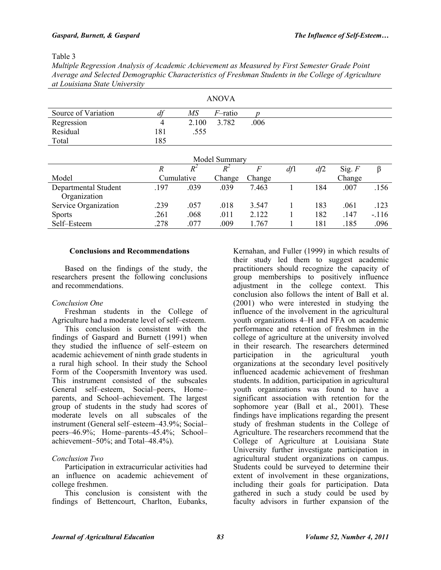#### Table 3

*Multiple Regression Analysis of Academic Achievement as Measured by First Semester Grade Point Average and Selected Demographic Characteristics of Freshman Students in the College of Agriculture at Louisiana State University* 

| <b>ANOVA</b>        |     |       |            |      |  |  |
|---------------------|-----|-------|------------|------|--|--|
| Source of Variation | df  | МS    | $F$ -ratio |      |  |  |
| Regression          | 4   | 2.100 | 3.782      | .006 |  |  |
| Residual            | 181 | .555  |            |      |  |  |
| Total               | 185 |       |            |      |  |  |

| Model Summary        |      |            |        |        |     |     |          |         |
|----------------------|------|------------|--------|--------|-----|-----|----------|---------|
|                      | R    | $R^2$      |        |        | df1 | df2 | Sig. $F$ |         |
| Model                |      | Cumulative | Change | Change |     |     | Change   |         |
| Departmental Student | 197  | .039       | .039   | 7.463  |     | 184 | .007     | .156    |
| Organization         |      |            |        |        |     |     |          |         |
| Service Organization | .239 | .057       | .018   | 3.547  |     | 183 | .061     | .123    |
| <b>Sports</b>        | .261 | .068       | .011   | 2.122  |     | 182 | .147     | $-.116$ |
| Self-Esteem          | .278 | .077       | .009   | .767   |     | 181 | .185     | .096    |

#### **Conclusions and Recommendations**

Based on the findings of the study, the researchers present the following conclusions and recommendations.

## *Conclusion One*

Freshman students in the College of Agriculture had a moderate level of self–esteem.

This conclusion is consistent with the findings of Gaspard and Burnett (1991) when they studied the influence of self–esteem on academic achievement of ninth grade students in a rural high school. In their study the School Form of the Coopersmith Inventory was used. This instrument consisted of the subscales General self–esteem, Social–peers, Home– parents, and School–achievement. The largest group of students in the study had scores of moderate levels on all subscales of the instrument (General self–esteem–43.9%; Social– peers–46.9%; Home–parents–45.4%; School– achievement–50%; and Total–48.4%).

## *Conclusion Two*

Participation in extracurricular activities had an influence on academic achievement of college freshmen.

This conclusion is consistent with the findings of Bettencourt, Charlton, Eubanks,

Kernahan, and Fuller (1999) in which results of their study led them to suggest academic practitioners should recognize the capacity of group memberships to positively influence adjustment in the college context. This conclusion also follows the intent of Ball et al. (2001) who were interested in studying the influence of the involvement in the agricultural youth organizations 4–H and FFA on academic performance and retention of freshmen in the college of agriculture at the university involved in their research. The researchers determined participation in the agricultural youth organizations at the secondary level positively influenced academic achievement of freshman students. In addition, participation in agricultural youth organizations was found to have a significant association with retention for the sophomore year (Ball et al., 2001). These findings have implications regarding the present study of freshman students in the College of Agriculture. The researchers recommend that the College of Agriculture at Louisiana State University further investigate participation in agricultural student organizations on campus. Students could be surveyed to determine their extent of involvement in these organizations, including their goals for participation. Data gathered in such a study could be used by faculty advisors in further expansion of the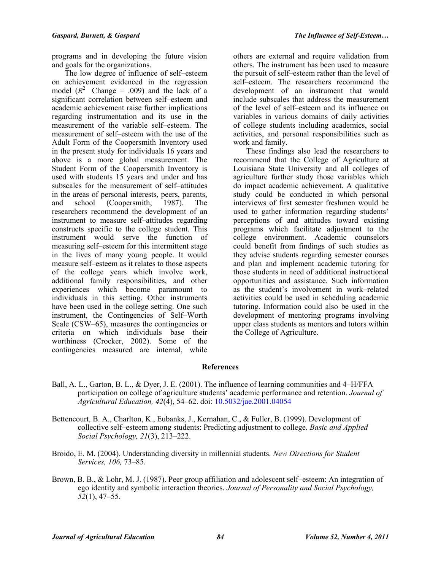programs and in developing the future vision and goals for the organizations.

The low degree of influence of self–esteem on achievement evidenced in the regression model  $(R^2 \text{ Change} = .009)$  and the lack of a significant correlation between self–esteem and academic achievement raise further implications regarding instrumentation and its use in the measurement of the variable self–esteem. The measurement of self–esteem with the use of the Adult Form of the Coopersmith Inventory used in the present study for individuals 16 years and above is a more global measurement. The Student Form of the Coopersmith Inventory is used with students 15 years and under and has subscales for the measurement of self–attitudes in the areas of personal interests, peers, parents, and school (Coopersmith, 1987). The researchers recommend the development of an instrument to measure self–attitudes regarding constructs specific to the college student. This instrument would serve the function of measuring self–esteem for this intermittent stage in the lives of many young people. It would measure self–esteem as it relates to those aspects of the college years which involve work, additional family responsibilities, and other experiences which become paramount to individuals in this setting. Other instruments have been used in the college setting. One such instrument, the Contingencies of Self–Worth Scale (CSW–65), measures the contingencies or criteria on which individuals base their worthiness (Crocker, 2002). Some of the contingencies measured are internal, while

others are external and require validation from others. The instrument has been used to measure the pursuit of self–esteem rather than the level of self–esteem. The researchers recommend the development of an instrument that would include subscales that address the measurement of the level of self–esteem and its influence on variables in various domains of daily activities of college students including academics, social activities, and personal responsibilities such as work and family.

These findings also lead the researchers to recommend that the College of Agriculture at Louisiana State University and all colleges of agriculture further study those variables which do impact academic achievement. A qualitative study could be conducted in which personal interviews of first semester freshmen would be used to gather information regarding students' perceptions of and attitudes toward existing programs which facilitate adjustment to the college environment. Academic counselors could benefit from findings of such studies as they advise students regarding semester courses and plan and implement academic tutoring for those students in need of additional instructional opportunities and assistance. Such information as the student's involvement in work–related activities could be used in scheduling academic tutoring. Information could also be used in the development of mentoring programs involving upper class students as mentors and tutors within the College of Agriculture.

## **References**

- Ball, A. L., Garton, B. L., & Dyer, J. E. (2001). The influence of learning communities and 4–H/FFA participation on college of agriculture students' academic performance and retention. *Journal of Agricultural Education, 42*(4), 54–62. doi: [10.5032/jae.2001.04054](http://dx.doi.org/10.5032/jae.2001.04054)
- Bettencourt, B. A., Charlton, K., Eubanks, J., Kernahan, C., & Fuller, B. (1999). Development of collective self–esteem among students: Predicting adjustment to college. *Basic and Applied Social Psychology, 21*(3), 213–222.
- Broido, E. M. (2004). Understanding diversity in millennial students. *New Directions for Student Services, 106,* 73–85.
- Brown, B. B., & Lohr, M. J. (1987). Peer group affiliation and adolescent self–esteem: An integration of ego identity and symbolic interaction theories. *Journal of Personality and Social Psychology, 52*(1), 47–55.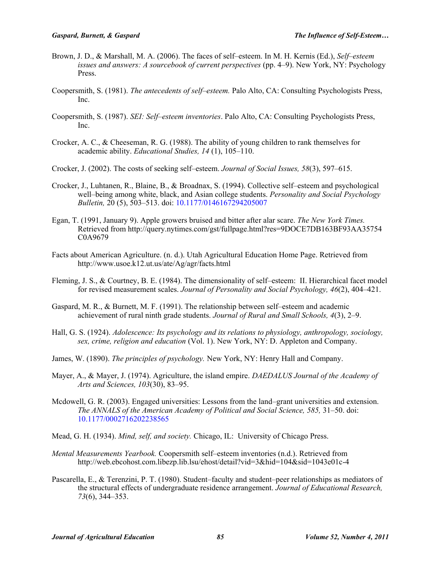- Brown, J. D., & Marshall, M. A. (2006). The faces of self–esteem. In M. H. Kernis (Ed.), *Self–esteem issues and answers: A sourcebook of current perspectives* (pp. 4–9). New York, NY: Psychology Press.
- Coopersmith, S. (1981). *The antecedents of self–esteem.* Palo Alto, CA: Consulting Psychologists Press, Inc.
- Coopersmith, S. (1987). *SEI: Self–esteem inventories*. Palo Alto, CA: Consulting Psychologists Press, Inc.
- Crocker, A. C., & Cheeseman, R. G. (1988). The ability of young children to rank themselves for academic ability. *Educational Studies, 14* (1), 105–110.
- Crocker, J. (2002). The costs of seeking self–esteem. *Journal of Social Issues, 58*(3), 597–615.
- Crocker, J., Luhtanen, R., Blaine, B., & Broadnax, S. (1994). Collective self–esteem and psychological well–being among white, black, and Asian college students. *Personality and Social Psychology Bulletin,* 20 (5), 503–513. doi: [10.1177/0146167294205007](http://dx.doi.org/10.1177/0146167294205007)
- Egan, T. (1991, January 9). Apple growers bruised and bitter after alar scare. *The New York Times.* Retrieved from http://query.nytimes.com/gst/fullpage.html?res=9DOCE7DB163BF93AA35754 C0A9679
- Facts about American Agriculture. (n. d.). Utah Agricultural Education Home Page. Retrieved from http://www.usoe.k12.ut.us/ate/Ag/agr/facts.html
- Fleming, J. S., & Courtney, B. E. (1984). The dimensionality of self–esteem: II. Hierarchical facet model for revised measurement scales. *Journal of Personality and Social Psychology, 46*(2), 404–421.
- Gaspard, M. R., & Burnett, M. F. (1991). The relationship between self–esteem and academic achievement of rural ninth grade students. *Journal of Rural and Small Schools, 4*(3), 2–9.
- Hall, G. S. (1924). *Adolescence: Its psychology and its relations to physiology, anthropology, sociology, sex, crime, religion and education* (Vol. 1). New York, NY: D. Appleton and Company.
- James, W. (1890). *The principles of psychology.* New York, NY: Henry Hall and Company.
- Mayer, A., & Mayer, J. (1974). Agriculture, the island empire. *DAEDALUS Journal of the Academy of Arts and Sciences, 103*(30), 83–95.
- Mcdowell, G. R. (2003). Engaged universities: Lessons from the land–grant universities and extension. *The ANNALS of the American Academy of Political and Social Science, 585, 31–50. doi:* [10.1177/0002716202238565](http://dx.doi.org/10.1177/0002716202238565)
- Mead, G. H. (1934). *Mind, self, and society.* Chicago, IL: University of Chicago Press.
- *Mental Measurements Yearbook.* Coopersmith self–esteem inventories (n.d.). Retrieved from http://web.ebcohost.com.libezp.lib.lsu/ehost/detail?vid=3&hid=104&sid=1043e01c-4
- Pascarella, E., & Terenzini, P. T. (1980). Student–faculty and student–peer relationships as mediators of the structural effects of undergraduate residence arrangement. *Journal of Educational Research, 73*(6), 344–353.